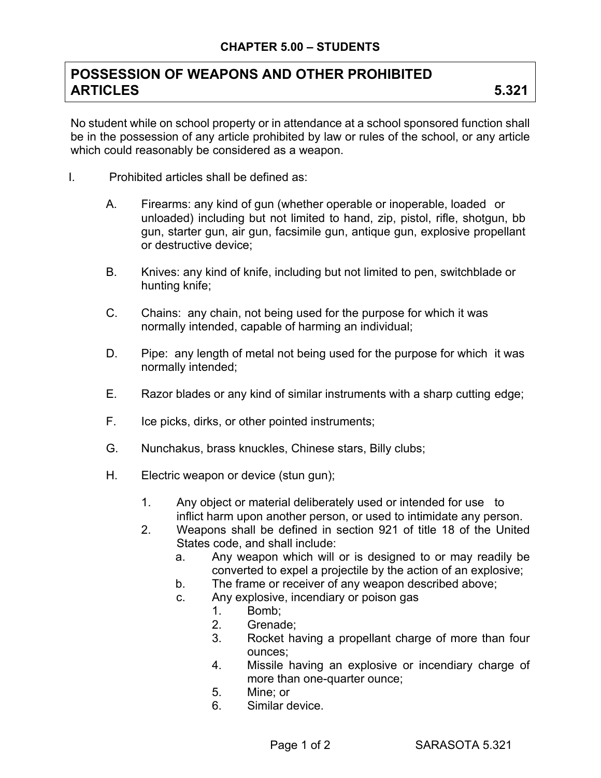## **POSSESSION OF WEAPONS AND OTHER PROHIBITED ARTICLES 5.321**

No student while on school property or in attendance at a school sponsored function shall be in the possession of any article prohibited by law or rules of the school, or any article which could reasonably be considered as a weapon.

- I. Prohibited articles shall be defined as:
	- A. Firearms: any kind of gun (whether operable or inoperable, loaded or unloaded) including but not limited to hand, zip, pistol, rifle, shotgun, bb gun, starter gun, air gun, facsimile gun, antique gun, explosive propellant or destructive device;
	- B. Knives: any kind of knife, including but not limited to pen, switchblade or hunting knife;
	- C. Chains: any chain, not being used for the purpose for which it was normally intended, capable of harming an individual;
	- D. Pipe: any length of metal not being used for the purpose for which it was normally intended;
	- E. Razor blades or any kind of similar instruments with a sharp cutting edge;
	- F. Ice picks, dirks, or other pointed instruments;
	- G. Nunchakus, brass knuckles, Chinese stars, Billy clubs;
	- H. Electric weapon or device (stun gun);
		- 1. Any object or material deliberately used or intended for use to inflict harm upon another person, or used to intimidate any person.
		- 2. Weapons shall be defined in section 921 of title 18 of the United States code, and shall include:
			- a. Any weapon which will or is designed to or may readily be converted to expel a projectile by the action of an explosive;
			- b. The frame or receiver of any weapon described above;
			- c. Any explosive, incendiary or poison gas
				- 1. Bomb;
				- 2. Grenade;
				- 3. Rocket having a propellant charge of more than four ounces;
				- 4. Missile having an explosive or incendiary charge of more than one-quarter ounce;
				- 5. Mine; or
				- 6. Similar device.